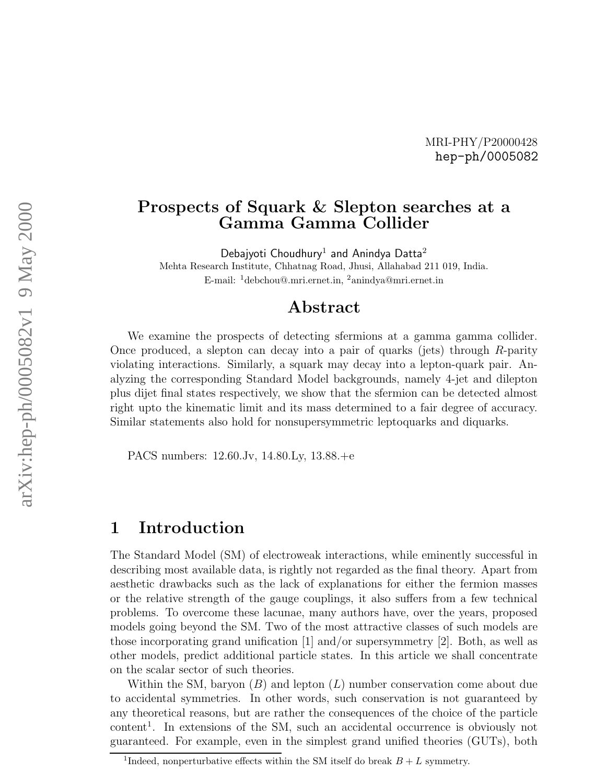#### MRI-PHY/P20000428 hep-ph/0005082

### Prospects of Squark & Slepton searches at a Gamma Gamma Collider

Debajyoti Choudhury<sup>1</sup> and Anindya Datta<sup>2</sup> Mehta Research Institute, Chhatnag Road, Jhusi, Allahabad 211 019, India. E-mail: <sup>1</sup>debchou@.mri.ernet.in, <sup>2</sup>anindya@mri.ernet.in

## Abstract

We examine the prospects of detecting sfermions at a gamma gamma collider. Once produced, a slepton can decay into a pair of quarks (jets) through R-parity violating interactions. Similarly, a squark may decay into a lepton-quark pair. Analyzing the corresponding Standard Model backgrounds, namely 4-jet and dilepton plus dijet final states respectively, we show that the sfermion can be detected almost right upto the kinematic limit and its mass determined to a fair degree of accuracy. Similar statements also hold for nonsupersymmetric leptoquarks and diquarks.

PACS numbers: 12.60.Jv, 14.80.Ly, 13.88.+e

### 1 Introduction

The Standard Model (SM) of electroweak interactions, while eminently successful in describing most available data, is rightly not regarded as the final theory. Apart from aesthetic drawbacks such as the lack of explanations for either the fermion masses or the relative strength of the gauge couplings, it also suffers from a few technical problems. To overcome these lacunae, many authors have, over the years, proposed models going beyond the SM. Two of the most attractive classes of such models are those incorporating grand unification [1] and/or supersymmetry [2]. Both, as well as other models, predict additional particle states. In this article we shall concentrate on the scalar sector of such theories.

Within the SM, baryon  $(B)$  and lepton  $(L)$  number conservation come about due to accidental symmetries. In other words, such conservation is not guaranteed by any theoretical reasons, but are rather the consequences of the choice of the particle content 1 . In extensions of the SM, such an accidental occurrence is obviously not guaranteed. For example, even in the simplest grand unified theories (GUTs), both

<sup>&</sup>lt;sup>1</sup>Indeed, nonperturbative effects within the SM itself do break  $B + L$  symmetry.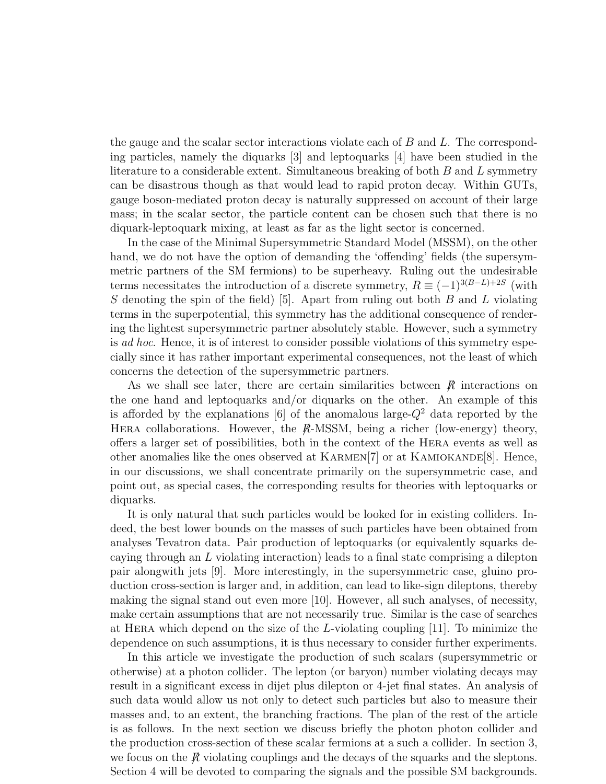the gauge and the scalar sector interactions violate each of  $B$  and  $L$ . The corresponding particles, namely the diquarks [3] and leptoquarks [4] have been studied in the literature to a considerable extent. Simultaneous breaking of both  $B$  and  $L$  symmetry can be disastrous though as that would lead to rapid proton decay. Within GUTs, gauge boson-mediated proton decay is naturally suppressed on account of their large mass; in the scalar sector, the particle content can be chosen such that there is no diquark-leptoquark mixing, at least as far as the light sector is concerned.

In the case of the Minimal Supersymmetric Standard Model (MSSM), on the other hand, we do not have the option of demanding the 'offending' fields (the supersymmetric partners of the SM fermions) to be superheavy. Ruling out the undesirable terms necessitates the introduction of a discrete symmetry,  $R \equiv (-1)^{3(B-L)+2S}$  (with S denoting the spin of the field) [5]. Apart from ruling out both  $B$  and  $L$  violating terms in the superpotential, this symmetry has the additional consequence of rendering the lightest supersymmetric partner absolutely stable. However, such a symmetry is ad hoc. Hence, it is of interest to consider possible violations of this symmetry especially since it has rather important experimental consequences, not the least of which concerns the detection of the supersymmetric partners.

As we shall see later, there are certain similarities between  $\hat{R}$  interactions on the one hand and leptoquarks and/or diquarks on the other. An example of this is afforded by the explanations [6] of the anomalous large- $Q^2$  data reported by the HERA collaborations. However, the  $R$ -MSSM, being a richer (low-energy) theory, offers a larger set of possibilities, both in the context of the Hera events as well as other anomalies like the ones observed at  $KARMEN[7]$  or at  $KAMIOKANDE[8]$ . Hence, in our discussions, we shall concentrate primarily on the supersymmetric case, and point out, as special cases, the corresponding results for theories with leptoquarks or diquarks.

It is only natural that such particles would be looked for in existing colliders. Indeed, the best lower bounds on the masses of such particles have been obtained from analyses Tevatron data. Pair production of leptoquarks (or equivalently squarks decaying through an L violating interaction) leads to a final state comprising a dilepton pair alongwith jets [9]. More interestingly, in the supersymmetric case, gluino production cross-section is larger and, in addition, can lead to like-sign dileptons, thereby making the signal stand out even more [10]. However, all such analyses, of necessity, make certain assumptions that are not necessarily true. Similar is the case of searches at HERA which depend on the size of the  $L$ -violating coupling [11]. To minimize the dependence on such assumptions, it is thus necessary to consider further experiments.

In this article we investigate the production of such scalars (supersymmetric or otherwise) at a photon collider. The lepton (or baryon) number violating decays may result in a significant excess in dijet plus dilepton or 4-jet final states. An analysis of such data would allow us not only to detect such particles but also to measure their masses and, to an extent, the branching fractions. The plan of the rest of the article is as follows. In the next section we discuss briefly the photon photon collider and the production cross-section of these scalar fermions at a such a collider. In section 3, we focus on the  $\hat{R}$  violating couplings and the decays of the squarks and the sleptons. Section 4 will be devoted to comparing the signals and the possible SM backgrounds.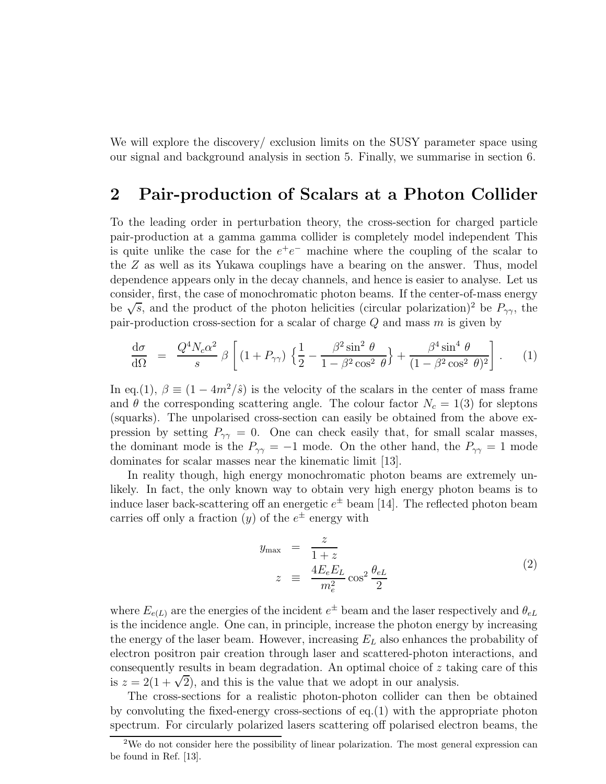We will explore the discovery/ exclusion limits on the SUSY parameter space using our signal and background analysis in section 5. Finally, we summarise in section 6.

### 2 Pair-production of Scalars at a Photon Collider

To the leading order in perturbation theory, the cross-section for charged particle pair-production at a gamma gamma collider is completely model independent This is quite unlike the case for the  $e^+e^-$  machine where the coupling of the scalar to the Z as well as its Yukawa couplings have a bearing on the answer. Thus, model dependence appears only in the decay channels, and hence is easier to analyse. Let us consider, first, the case of monochromatic photon beams. If the center-of-mass energy be  $\sqrt{s}$ , and the product of the photon helicities (circular polarization)<sup>2</sup> be  $P_{\gamma\gamma}$ , the pair-production cross-section for a scalar of charge  $Q$  and mass  $m$  is given by

$$
\frac{\mathrm{d}\sigma}{\mathrm{d}\Omega} = \frac{Q^4 N_c \alpha^2}{s} \beta \left[ \left( 1 + P_{\gamma\gamma} \right) \left\{ \frac{1}{2} - \frac{\beta^2 \sin^2 \theta}{1 - \beta^2 \cos^2 \theta} \right\} + \frac{\beta^4 \sin^4 \theta}{(1 - \beta^2 \cos^2 \theta)^2} \right]. \tag{1}
$$

In eq.(1),  $\beta \equiv (1 - 4m^2/\hat{s})$  is the velocity of the scalars in the center of mass frame and  $\theta$  the corresponding scattering angle. The colour factor  $N_c = 1(3)$  for sleptons (squarks). The unpolarised cross-section can easily be obtained from the above expression by setting  $P_{\gamma\gamma} = 0$ . One can check easily that, for small scalar masses, the dominant mode is the  $P_{\gamma\gamma} = -1$  mode. On the other hand, the  $P_{\gamma\gamma} = 1$  mode dominates for scalar masses near the kinematic limit [13].

In reality though, high energy monochromatic photon beams are extremely unlikely. In fact, the only known way to obtain very high energy photon beams is to induce laser back-scattering off an energetic  $e^{\pm}$  beam [14]. The reflected photon beam carries off only a fraction  $(y)$  of the  $e^{\pm}$  energy with

$$
y_{\max} = \frac{z}{1+z}
$$
  

$$
z = \frac{4E_eE_L}{m_e^2}\cos^2\frac{\theta_{eL}}{2}
$$
 (2)

where  $E_{e(L)}$  are the energies of the incident  $e^{\pm}$  beam and the laser respectively and  $\theta_{eL}$ is the incidence angle. One can, in principle, increase the photon energy by increasing the energy of the laser beam. However, increasing  $E_L$  also enhances the probability of electron positron pair creation through laser and scattered-photon interactions, and consequently results in beam degradation. An optimal choice of z taking care of this is  $z = 2(1 + \sqrt{2})$ , and this is the value that we adopt in our analysis.

The cross-sections for a realistic photon-photon collider can then be obtained by convoluting the fixed-energy cross-sections of  $eq.(1)$  with the appropriate photon spectrum. For circularly polarized lasers scattering off polarised electron beams, the

<sup>&</sup>lt;sup>2</sup>We do not consider here the possibility of linear polarization. The most general expression can be found in Ref. [13].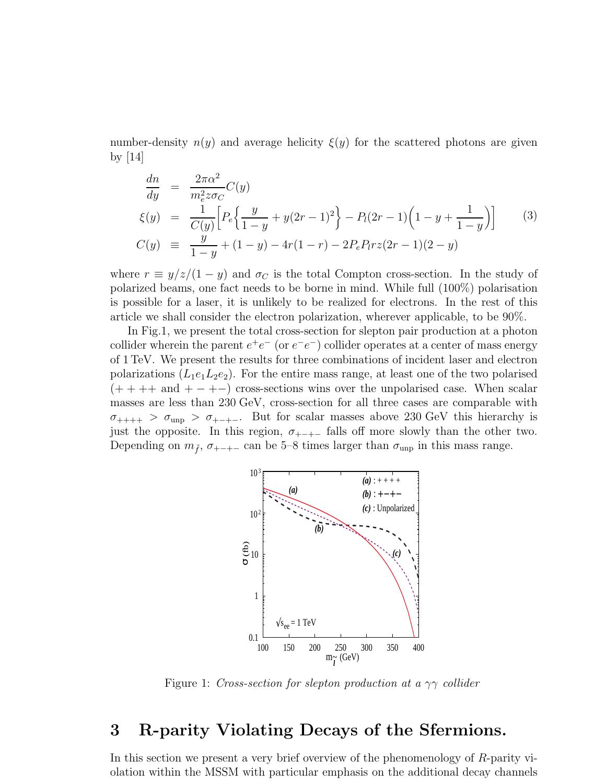number-density  $n(y)$  and average helicity  $\xi(y)$  for the scattered photons are given by [14]

$$
\frac{dn}{dy} = \frac{2\pi\alpha^2}{m_e^2 z \sigma_C} C(y)
$$
\n
$$
\xi(y) = \frac{1}{C(y)} \Big[ P_e \Big\{ \frac{y}{1-y} + y(2r-1)^2 \Big\} - P_l(2r-1) \Big( 1 - y + \frac{1}{1-y} \Big) \Big] \tag{3}
$$
\n
$$
C(y) \equiv \frac{y}{1-y} + (1-y) - 4r(1-r) - 2P_e P_l rz(2r-1)(2-y)
$$

where  $r \equiv y/z/(1-y)$  and  $\sigma_C$  is the total Compton cross-section. In the study of polarized beams, one fact needs to be borne in mind. While full (100%) polarisation is possible for a laser, it is unlikely to be realized for electrons. In the rest of this article we shall consider the electron polarization, wherever applicable, to be 90%.

In Fig.1, we present the total cross-section for slepton pair production at a photon collider wherein the parent  $e^+e^-$  (or  $e^-e^-$ ) collider operates at a center of mass energy of 1 TeV. We present the results for three combinations of incident laser and electron polarizations  $(L_1e_1L_2e_2)$ . For the entire mass range, at least one of the two polarised  $(++++)$  and  $+--)$  cross-sections wins over the unpolarised case. When scalar masses are less than 230 GeV, cross-section for all three cases are comparable with  $\sigma_{+++} > \sigma_{\text{unp}} > \sigma_{+---}$ . But for scalar masses above 230 GeV this hierarchy is just the opposite. In this region,  $\sigma_{+-+}$  falls off more slowly than the other two. Depending on  $m_{\tilde{f}}$ ,  $\sigma_{+-++}$  can be 5–8 times larger than  $\sigma_{\rm unp}$  in this mass range.



Figure 1: Cross-section for slepton production at a  $\gamma\gamma$  collider

# 3 R-parity Violating Decays of the Sfermions.

In this section we present a very brief overview of the phenomenology of R-parity violation within the MSSM with particular emphasis on the additional decay channels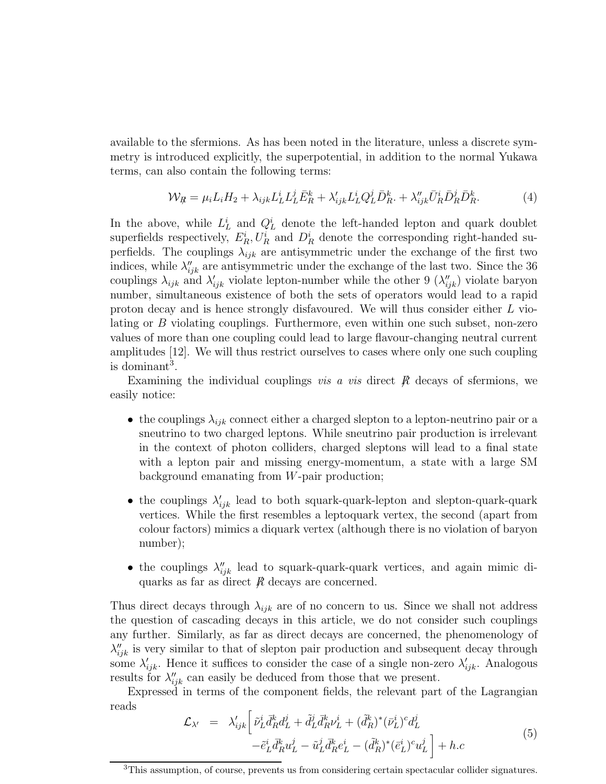available to the sfermions. As has been noted in the literature, unless a discrete symmetry is introduced explicitly, the superpotential, in addition to the normal Yukawa terms, can also contain the following terms:

$$
\mathcal{W}_{R} = \mu_i L_i H_2 + \lambda_{ijk} L_L^i L_L^j \bar{E}_R^k + \lambda'_{ijk} L_L^i Q_L^j \bar{D}_R^k + \lambda''_{ijk} \bar{U}_R^i \bar{D}_R^j \bar{D}_R^k.
$$
 (4)

In the above, while  $L<sub>L</sub><sup>i</sup>$  and  $Q<sub>L</sub><sup>i</sup>$  denote the left-handed lepton and quark doublet superfields respectively,  $E_R^i$ ,  $U_R^i$  and  $D_R^i$  denote the corresponding right-handed superfields. The couplings  $\lambda_{ijk}$  are antisymmetric under the exchange of the first two indices, while  $\lambda''_{ijk}$  are antisymmetric under the exchange of the last two. Since the 36 couplings  $\lambda_{ijk}$  and  $\lambda'_{ijk}$  violate lepton-number while the other 9  $(\lambda''_{ijk})$  violate baryon number, simultaneous existence of both the sets of operators would lead to a rapid proton decay and is hence strongly disfavoured. We will thus consider either L violating or B violating couplings. Furthermore, even within one such subset, non-zero values of more than one coupling could lead to large flavour-changing neutral current amplitudes [12]. We will thus restrict ourselves to cases where only one such coupling is dominant<sup>3</sup>.

Examining the individual couplings *vis a vis* direct  $\beta$  decays of sfermions, we easily notice:

- the couplings  $\lambda_{ijk}$  connect either a charged slepton to a lepton-neutrino pair or a sneutrino to two charged leptons. While sneutrino pair production is irrelevant in the context of photon colliders, charged sleptons will lead to a final state with a lepton pair and missing energy-momentum, a state with a large SM background emanating from W-pair production;
- the couplings  $\lambda'_{ijk}$  lead to both squark-quark-lepton and slepton-quark-quark vertices. While the first resembles a leptoquark vertex, the second (apart from colour factors) mimics a diquark vertex (although there is no violation of baryon number);
- the couplings  $\lambda''_{ijk}$  lead to squark-quark-quark vertices, and again mimic diquarks as far as direct  $\beta$  decays are concerned.

Thus direct decays through  $\lambda_{ijk}$  are of no concern to us. Since we shall not address the question of cascading decays in this article, we do not consider such couplings any further. Similarly, as far as direct decays are concerned, the phenomenology of  $\lambda''_{ijk}$  is very similar to that of slepton pair production and subsequent decay through some  $\lambda'_{ijk}$ . Hence it suffices to consider the case of a single non-zero  $\lambda'_{ijk}$ . Analogous results for  $\lambda''_{ijk}$  can easily be deduced from those that we present.

Expressed in terms of the component fields, the relevant part of the Lagrangian reads

$$
\mathcal{L}_{\lambda'} = \lambda'_{ijk} \left[ \tilde{\nu}_L^i \bar{d}_R^k d_L^j + \tilde{d}_L^j \bar{d}_R^k \nu_L^i + (\tilde{d}_R^k)^* (\bar{\nu}_L^i)^c d_L^j - \tilde{e}_L^i \bar{d}_R^k u_L^j - \tilde{u}_L^j \bar{d}_R^k e_L^i - (\tilde{d}_R^k)^* (\bar{e}_L^i)^c u_L^j \right] + h.c
$$
\n(5)

<sup>&</sup>lt;sup>3</sup>This assumption, of course, prevents us from considering certain spectacular collider signatures.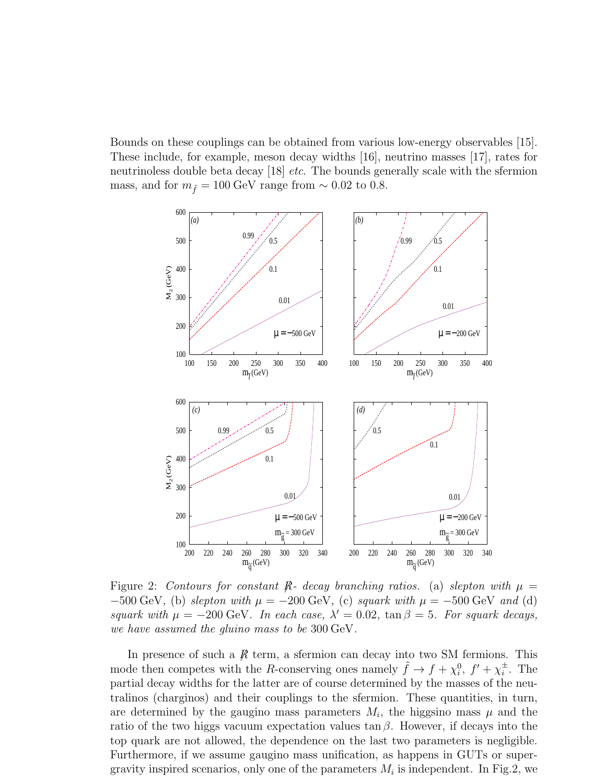Bounds on these couplings can be obtained from various low-energy observables [15]. These include, for example, meson decay widths [16], neutrino masses [17], rates for neutrinoless double beta decay [18] *etc.* The bounds generally scale with the sfermion mass, and for  $m_{\tilde{f}} = 100 \text{ GeV}$  range from ~ 0.02 to 0.8.



Figure 2: Contours for constant R- decay branching ratios. (a) slepton with  $\mu =$  $-500 \text{ GeV}$ , (b) slepton with  $\mu = -200 \text{ GeV}$ , (c) squark with  $\mu = -500 \text{ GeV}$  and (d) squark with  $\mu = -200 \text{ GeV}$ . In each case,  $\lambda' = 0.02$ ,  $\tan \beta = 5$ . For squark decays, we have assumed the gluino mass to be 300 GeV.

In presence of such a  $\cancel{R}$  term, a sfermion can decay into two SM fermions. This mode then competes with the R-conserving ones namely  $\tilde{f} \to f + \chi_i^0$ ,  $f' + \chi_i^{\pm}$  $\frac{1}{i}$ . The partial decay widths for the latter are of course determined by the masses of the neutralinos (charginos) and their couplings to the sfermion. These quantities, in turn, are determined by the gaugino mass parameters  $M_i$ , the higgsino mass  $\mu$  and the ratio of the two higgs vacuum expectation values  $\tan \beta$ . However, if decays into the top quark are not allowed, the dependence on the last two parameters is negligible. Furthermore, if we assume gaugino mass unification, as happens in GUTs or supergravity inspired scenarios, only one of the parameters  $M_i$  is independent. In Fig.2, we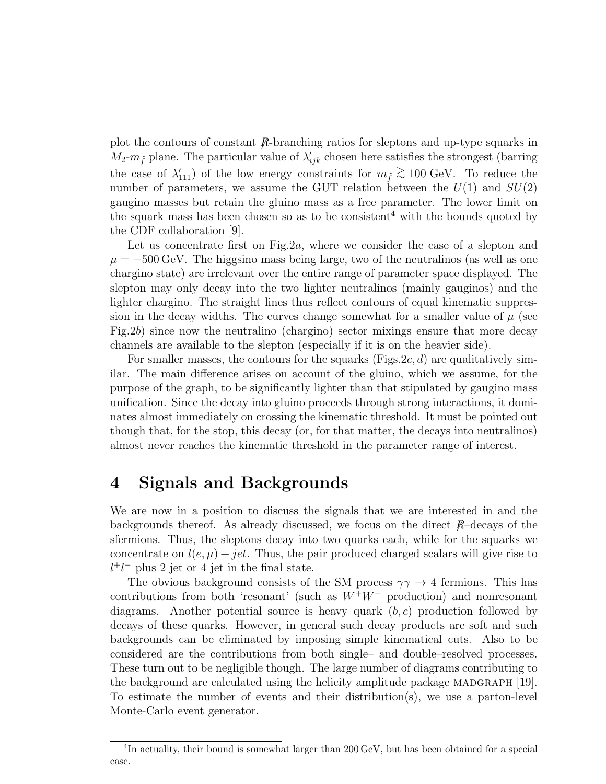plot the contours of constant  $\mathbb{R}$ -branching ratios for sleptons and up-type squarks in  $M_2-m_{\tilde{f}}$  plane. The particular value of  $\lambda'_{ijk}$  chosen here satisfies the strongest (barring the case of  $\lambda'_{111}$  of the low energy constraints for  $m_{\tilde{f}} \gtrsim 100 \text{ GeV}$ . To reduce the number of parameters, we assume the GUT relation between the  $U(1)$  and  $SU(2)$ gaugino masses but retain the gluino mass as a free parameter. The lower limit on the squark mass has been chosen so as to be consistent<sup>4</sup> with the bounds quoted by the CDF collaboration [9].

Let us concentrate first on Fig.  $2a$ , where we consider the case of a slepton and  $\mu = -500 \,\text{GeV}$ . The higgsino mass being large, two of the neutralinos (as well as one chargino state) are irrelevant over the entire range of parameter space displayed. The slepton may only decay into the two lighter neutralinos (mainly gauginos) and the lighter chargino. The straight lines thus reflect contours of equal kinematic suppression in the decay widths. The curves change somewhat for a smaller value of  $\mu$  (see Fig.2b) since now the neutralino (chargino) sector mixings ensure that more decay channels are available to the slepton (especially if it is on the heavier side).

For smaller masses, the contours for the squarks (Figs. 2c, d) are qualitatively similar. The main difference arises on account of the gluino, which we assume, for the purpose of the graph, to be significantly lighter than that stipulated by gaugino mass unification. Since the decay into gluino proceeds through strong interactions, it dominates almost immediately on crossing the kinematic threshold. It must be pointed out though that, for the stop, this decay (or, for that matter, the decays into neutralinos) almost never reaches the kinematic threshold in the parameter range of interest.

# 4 Signals and Backgrounds

We are now in a position to discuss the signals that we are interested in and the backgrounds thereof. As already discussed, we focus on the direct  $R$ -decays of the sfermions. Thus, the sleptons decay into two quarks each, while for the squarks we concentrate on  $l(e, \mu) + jet$ . Thus, the pair produced charged scalars will give rise to  $l^+l^-$  plus 2 jet or 4 jet in the final state.

The obvious background consists of the SM process  $\gamma\gamma \rightarrow 4$  fermions. This has contributions from both 'resonant' (such as  $W^+W^-$  production) and nonresonant diagrams. Another potential source is heavy quark  $(b, c)$  production followed by decays of these quarks. However, in general such decay products are soft and such backgrounds can be eliminated by imposing simple kinematical cuts. Also to be considered are the contributions from both single– and double–resolved processes. These turn out to be negligible though. The large number of diagrams contributing to the background are calculated using the helicity amplitude package MADGRAPH [19]. To estimate the number of events and their distribution(s), we use a parton-level Monte-Carlo event generator.

<sup>&</sup>lt;sup>4</sup>In actuality, their bound is somewhat larger than 200 GeV, but has been obtained for a special case.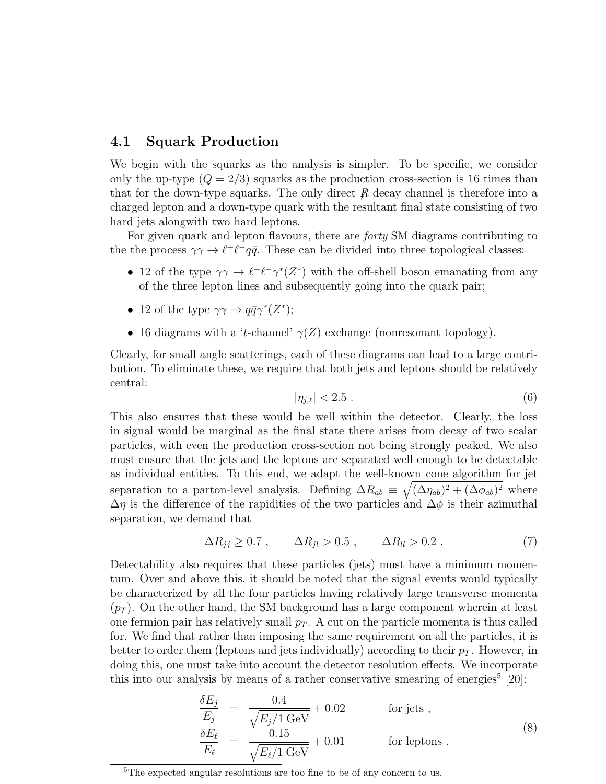#### 4.1 Squark Production

We begin with the squarks as the analysis is simpler. To be specific, we consider only the up-type  $(Q = 2/3)$  squarks as the production cross-section is 16 times than that for the down-type squarks. The only direct  $\hat{R}$  decay channel is therefore into a charged lepton and a down-type quark with the resultant final state consisting of two hard jets alongwith two hard leptons.

For given quark and lepton flavours, there are *forty* SM diagrams contributing to the the process  $\gamma \gamma \to \ell^+ \ell^- q \bar{q}$ . These can be divided into three topological classes:

- 12 of the type  $\gamma\gamma \to \ell^+\ell^-\gamma^*(Z^*)$  with the off-shell boson emanating from any of the three lepton lines and subsequently going into the quark pair;
- 12 of the type  $\gamma\gamma \to q\bar{q}\gamma^*(Z^*);$
- 16 diagrams with a 't-channel'  $\gamma(Z)$  exchange (nonresonant topology).

Clearly, for small angle scatterings, each of these diagrams can lead to a large contribution. To eliminate these, we require that both jets and leptons should be relatively central:

$$
|\eta_{j,\ell}| < 2.5 \tag{6}
$$

This also ensures that these would be well within the detector. Clearly, the loss in signal would be marginal as the final state there arises from decay of two scalar particles, with even the production cross-section not being strongly peaked. We also must ensure that the jets and the leptons are separated well enough to be detectable as individual entities. To this end, we adapt the well-known cone algorithm for jet separation to a parton-level analysis. Defining  $\Delta R_{ab} \equiv \sqrt{(\Delta \eta_{ab})^2 + (\Delta \phi_{ab})^2}$  where  $\Delta \eta$  is the difference of the rapidities of the two particles and  $\Delta \phi$  is their azimuthal separation, we demand that

$$
\Delta R_{jj} \ge 0.7 \ , \qquad \Delta R_{jl} > 0.5 \ , \qquad \Delta R_{ll} > 0.2 \ . \tag{7}
$$

Detectability also requires that these particles (jets) must have a minimum momentum. Over and above this, it should be noted that the signal events would typically be characterized by all the four particles having relatively large transverse momenta  $(p_T)$ . On the other hand, the SM background has a large component wherein at least one fermion pair has relatively small  $p_T$ . A cut on the particle momenta is thus called for. We find that rather than imposing the same requirement on all the particles, it is better to order them (leptons and jets individually) according to their  $p_T$ . However, in doing this, one must take into account the detector resolution effects. We incorporate this into our analysis by means of a rather conservative smearing of energies<sup>5</sup>  $[20]$ :

$$
\frac{\delta E_j}{E_j} = \frac{0.4}{\sqrt{E_j/1 \text{ GeV}}} + 0.02 \qquad \text{for jets },
$$
\n
$$
\frac{\delta E_\ell}{E_\ell} = \frac{0.15}{\sqrt{E_\ell/1 \text{ GeV}}} + 0.01 \qquad \text{for leptons }.
$$
\n(8)

<sup>5</sup>The expected angular resolutions are too fine to be of any concern to us.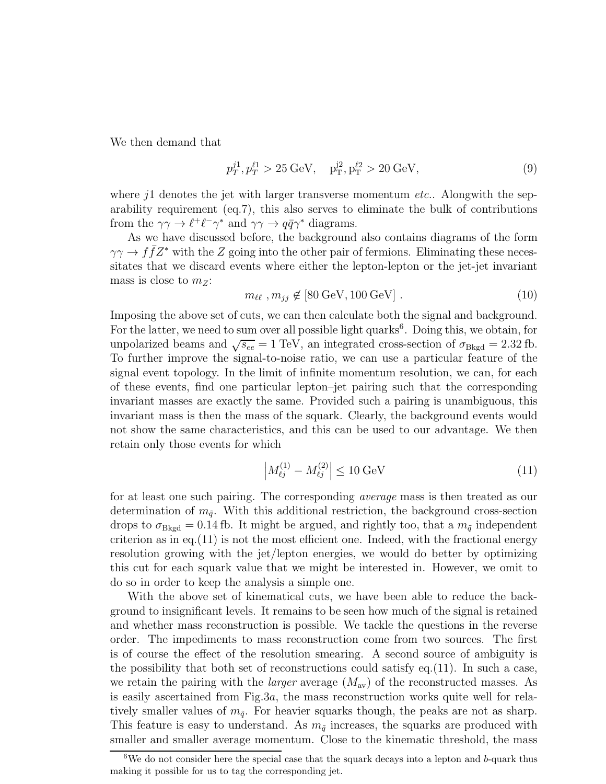We then demand that

$$
p_T^{j1}, p_T^{\ell 1} > 25 \,\text{GeV}, \quad p_T^{j2}, p_T^{\ell 2} > 20 \,\text{GeV},\tag{9}
$$

where  $i<sup>1</sup>$  denotes the jet with larger transverse momentum *etc.*. Alongwith the separability requirement (eq.7), this also serves to eliminate the bulk of contributions from the  $\gamma\gamma \to \ell^+ \ell^- \gamma^*$  and  $\gamma\gamma \to q\bar{q}\gamma^*$  diagrams.

As we have discussed before, the background also contains diagrams of the form  $\gamma\gamma \to f\bar{f}Z^*$  with the Z going into the other pair of fermions. Eliminating these necessitates that we discard events where either the lepton-lepton or the jet-jet invariant mass is close to  $m_Z$ :

$$
m_{\ell\ell}, m_{jj} \notin [80 \,\text{GeV}, 100 \,\text{GeV}] \ . \tag{10}
$$

Imposing the above set of cuts, we can then calculate both the signal and background. For the latter, we need to sum over all possible light quarks<sup>6</sup>. Doing this, we obtain, for unpolarized beams and  $\sqrt{s_{ee}} = 1 \text{ TeV}$ , an integrated cross-section of  $\sigma_{Bkgd} = 2.32 \text{ fb}$ . To further improve the signal-to-noise ratio, we can use a particular feature of the signal event topology. In the limit of infinite momentum resolution, we can, for each of these events, find one particular lepton–jet pairing such that the corresponding invariant masses are exactly the same. Provided such a pairing is unambiguous, this invariant mass is then the mass of the squark. Clearly, the background events would not show the same characteristics, and this can be used to our advantage. We then retain only those events for which

$$
\left| M_{\ell j}^{(1)} - M_{\ell j}^{(2)} \right| \le 10 \text{ GeV} \tag{11}
$$

for at least one such pairing. The corresponding average mass is then treated as our determination of  $m_{\tilde{q}}$ . With this additional restriction, the background cross-section drops to  $\sigma_{Bkgd} = 0.14$  fb. It might be argued, and rightly too, that a  $m_{\tilde{q}}$  independent criterion as in eq.  $(11)$  is not the most efficient one. Indeed, with the fractional energy resolution growing with the jet/lepton energies, we would do better by optimizing this cut for each squark value that we might be interested in. However, we omit to do so in order to keep the analysis a simple one.

With the above set of kinematical cuts, we have been able to reduce the background to insignificant levels. It remains to be seen how much of the signal is retained and whether mass reconstruction is possible. We tackle the questions in the reverse order. The impediments to mass reconstruction come from two sources. The first is of course the effect of the resolution smearing. A second source of ambiguity is the possibility that both set of reconstructions could satisfy eq.(11). In such a case, we retain the pairing with the *larger* average  $(M_{av})$  of the reconstructed masses. As is easily ascertained from Fig.3a, the mass reconstruction works quite well for relatively smaller values of  $m_{\tilde{q}}$ . For heavier squarks though, the peaks are not as sharp. This feature is easy to understand. As  $m_{\tilde{q}}$  increases, the squarks are produced with smaller and smaller average momentum. Close to the kinematic threshold, the mass

 $6$ We do not consider here the special case that the squark decays into a lepton and b-quark thus making it possible for us to tag the corresponding jet.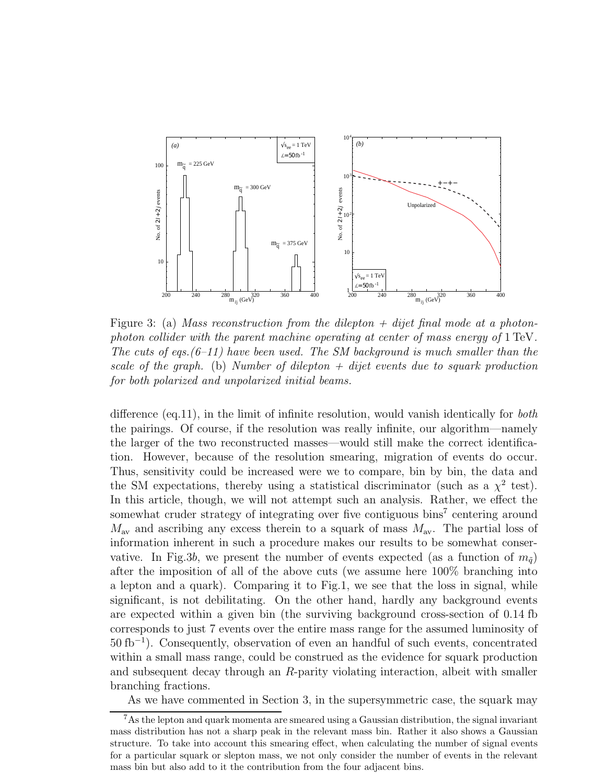

Figure 3: (a) Mass reconstruction from the dilepton  $+$  dijet final mode at a photonphoton collider with the parent machine operating at center of mass energy of 1 TeV. The cuts of eqs.  $(6-11)$  have been used. The SM background is much smaller than the scale of the graph. (b) Number of dilepton  $+$  dijet events due to squark production for both polarized and unpolarized initial beams.

difference (eq.11), in the limit of infinite resolution, would vanish identically for both the pairings. Of course, if the resolution was really infinite, our algorithm—namely the larger of the two reconstructed masses—would still make the correct identification. However, because of the resolution smearing, migration of events do occur. Thus, sensitivity could be increased were we to compare, bin by bin, the data and the SM expectations, thereby using a statistical discriminator (such as a  $\chi^2$  test). In this article, though, we will not attempt such an analysis. Rather, we effect the somewhat cruder strategy of integrating over five contiguous bins<sup>7</sup> centering around  $M_{\text{av}}$  and ascribing any excess therein to a squark of mass  $M_{\text{av}}$ . The partial loss of information inherent in such a procedure makes our results to be somewhat conservative. In Fig.3b, we present the number of events expected (as a function of  $m_{\tilde{q}}$ ) after the imposition of all of the above cuts (we assume here 100% branching into a lepton and a quark). Comparing it to Fig.1, we see that the loss in signal, while significant, is not debilitating. On the other hand, hardly any background events are expected within a given bin (the surviving background cross-section of 0.14 fb corresponds to just 7 events over the entire mass range for the assumed luminosity of 50 fb<sup>−</sup><sup>1</sup> ). Consequently, observation of even an handful of such events, concentrated within a small mass range, could be construed as the evidence for squark production and subsequent decay through an R-parity violating interaction, albeit with smaller branching fractions.

As we have commented in Section 3, in the supersymmetric case, the squark may

<sup>7</sup>As the lepton and quark momenta are smeared using a Gaussian distribution, the signal invariant mass distribution has not a sharp peak in the relevant mass bin. Rather it also shows a Gaussian structure. To take into account this smearing effect, when calculating the number of signal events for a particular squark or slepton mass, we not only consider the number of events in the relevant mass bin but also add to it the contribution from the four adjacent bins.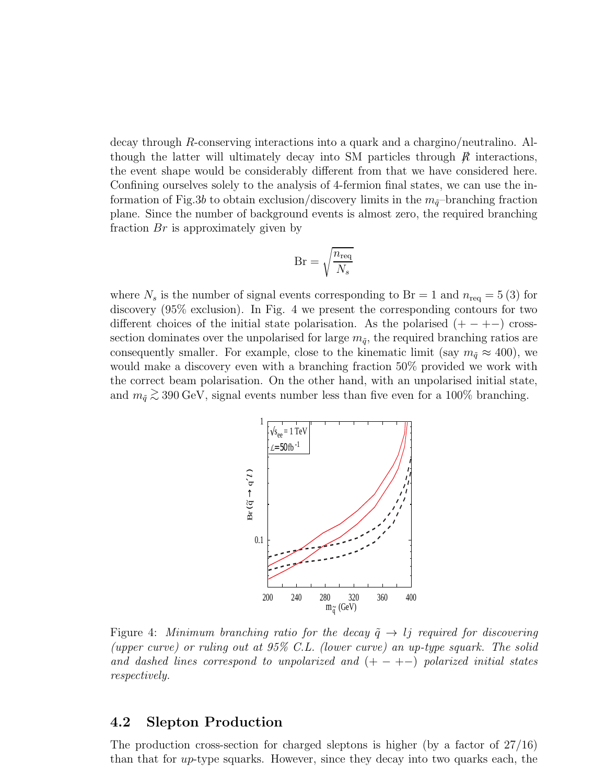decay through R-conserving interactions into a quark and a chargino/neutralino. Although the latter will ultimately decay into SM particles through  $\beta$  interactions, the event shape would be considerably different from that we have considered here. Confining ourselves solely to the analysis of 4-fermion final states, we can use the information of Fig.3b to obtain exclusion/discovery limits in the  $m_{\tilde{q}}$ -branching fraction plane. Since the number of background events is almost zero, the required branching fraction  $Br$  is approximately given by

$$
Br = \sqrt{\frac{n_{\text{req}}}{N_s}}
$$

where  $N_s$  is the number of signal events corresponding to Br = 1 and  $n_{\text{req}} = 5(3)$  for discovery (95% exclusion). In Fig. 4 we present the corresponding contours for two different choices of the initial state polarisation. As the polarised  $(+-+-)$  crosssection dominates over the unpolarised for large  $m_{\tilde{q}}$ , the required branching ratios are consequently smaller. For example, close to the kinematic limit (say  $m_{\tilde{q}} \approx 400$ ), we would make a discovery even with a branching fraction 50% provided we work with the correct beam polarisation. On the other hand, with an unpolarised initial state, and  $m_{\tilde{q}} \gtrsim 390 \,\text{GeV}$ , signal events number less than five even for a 100% branching.



Figure 4: Minimum branching ratio for the decay  $\tilde{q} \rightarrow l_j$  required for discovering (upper curve) or ruling out at 95% C.L. (lower curve) an up-type squark. The solid and dashed lines correspond to unpolarized and  $(+-+-)$  polarized initial states respectively.

### 4.2 Slepton Production

The production cross-section for charged sleptons is higher (by a factor of 27/16) than that for  $up$ -type squarks. However, since they decay into two quarks each, the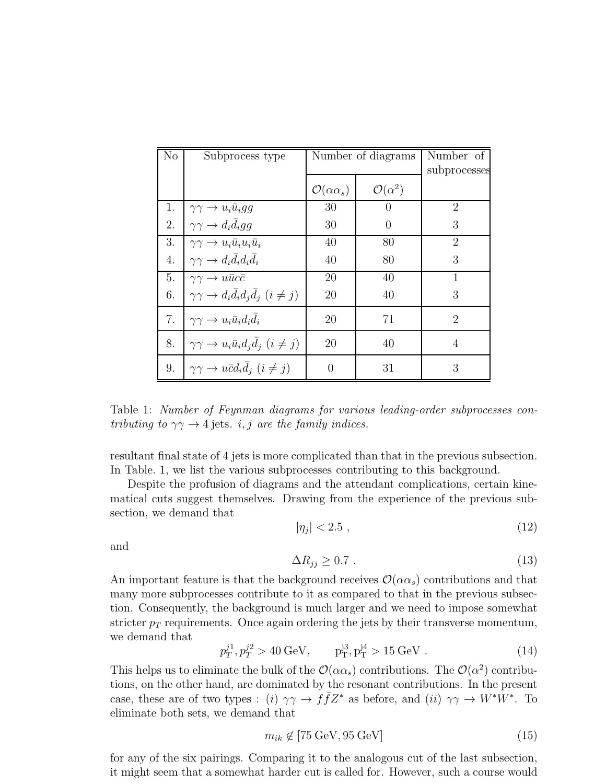| No | Subprocess type                                                     | Number of diagrams             |                         | Number of                   |
|----|---------------------------------------------------------------------|--------------------------------|-------------------------|-----------------------------|
|    |                                                                     |                                |                         | subprocesses                |
|    |                                                                     | $\mathcal{O}(\alpha \alpha_s)$ | $\mathcal{O}(\alpha^2)$ |                             |
| 1. | $\gamma\gamma \rightarrow u_i \bar{u}_i gg$                         | 30                             | $\cup$                  | $\mathcal{D}_{\mathcal{L}}$ |
| 2. | $\gamma\gamma \rightarrow d_i \bar{d}_i gg$                         | 30                             | 0                       | 3                           |
| 3. | $\gamma\gamma \rightarrow u_i \bar{u}_i u_i \bar{u}_i$              | 40                             | 80                      | 2                           |
| 4. | $\gamma\gamma \rightarrow d_i d_i d_i d_i$                          | 40                             | 80                      | 3                           |
| 5. | $\gamma\gamma \to u\bar{u}c\bar{c}$                                 | 20                             | 40                      |                             |
| 6. | $\gamma\gamma \rightarrow d_i \bar{d}_i d_j \bar{d}_j$ $(i \neq j)$ | 20                             | 40                      | 3                           |
| 7. | $\gamma\gamma \rightarrow u_i \bar{u}_i d_i d_i$                    | 20                             | 71                      | $\mathcal{D}_{\mathcal{L}}$ |
| 8. | $\gamma\gamma \rightarrow u_i \bar{u}_i d_i d_j$ $(i \neq j)$       | 20                             | 40                      | 4                           |
| 9. | $\gamma\gamma \rightarrow u\bar{c}d_i d_j$ $(i \neq j)$             | $\Omega$                       | 31                      | 3                           |

Table 1: Number of Feynman diagrams for various leading-order subprocesses contributing to  $\gamma\gamma \rightarrow 4$  jets. *i, j* are the family indices.

resultant final state of 4 jets is more complicated than that in the previous subsection. In Table. 1, we list the various subprocesses contributing to this background.

Despite the profusion of diagrams and the attendant complications, certain kinematical cuts suggest themselves. Drawing from the experience of the previous subsection, we demand that

$$
|\eta_j| < 2.5 \tag{12}
$$

and

$$
\Delta R_{jj} \ge 0.7 \tag{13}
$$

An important feature is that the background receives  $\mathcal{O}(\alpha \alpha_s)$  contributions and that many more subprocesses contribute to it as compared to that in the previous subsection. Consequently, the background is much larger and we need to impose somewhat stricter  $p_T$  requirements. Once again ordering the jets by their transverse momentum, we demand that

$$
p_T^{j1}, p_T^{j2} > 40 \text{ GeV}, \qquad p_T^{j3}, p_T^{j4} > 15 \text{ GeV}. \tag{14}
$$

This helps us to eliminate the bulk of the  $\mathcal{O}(\alpha \alpha_s)$  contributions. The  $\mathcal{O}(\alpha^2)$  contributions, on the other hand, are dominated by the resonant contributions. In the present case, these are of two types : (i)  $\gamma\gamma \to f\bar{f}Z^*$  as before, and (ii)  $\gamma\gamma \to W^*W^*$ . To eliminate both sets, we demand that

$$
m_{ik} \notin [75 \text{ GeV}, 95 \text{ GeV}] \tag{15}
$$

for any of the six pairings. Comparing it to the analogous cut of the last subsection, it might seem that a somewhat harder cut is called for. However, such a course would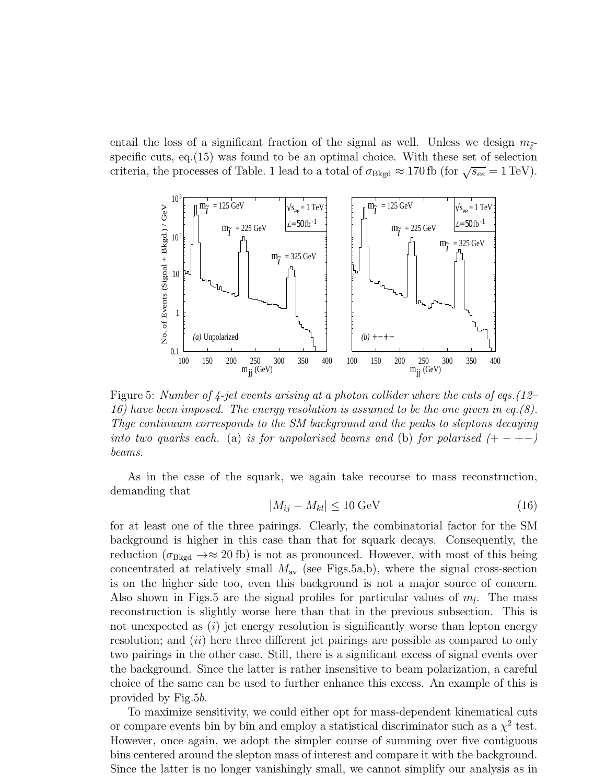entail the loss of a significant fraction of the signal as well. Unless we design  $m_{\tilde{\ell}}$ specific cuts, eq.(15) was found to be an optimal choice. With these set of selection criteria, the processes of Table. 1 lead to a total of  $\sigma_{Bkgd} \approx 170 \text{ fb}$  (for  $\sqrt{s_{ee}} = 1 \text{ TeV}$ ).



Figure 5: Number of  $\frac{1}{4}$ -jet events arising at a photon collider where the cuts of eqs. (12– 16) have been imposed. The energy resolution is assumed to be the one given in eq.(8). Thge continuum corresponds to the SM background and the peaks to sleptons decaying into two quarks each. (a) is for unpolarised beams and (b) for polarised  $(+-+-)$ beams.

As in the case of the squark, we again take recourse to mass reconstruction, demanding that

$$
|M_{ij} - M_{kl}| \le 10 \,\text{GeV} \tag{16}
$$

for at least one of the three pairings. Clearly, the combinatorial factor for the SM background is higher in this case than that for squark decays. Consequently, the reduction ( $\sigma_{Bkgd} \rightarrow \approx 20$  fb) is not as pronounced. However, with most of this being concentrated at relatively small  $M_{\text{av}}$  (see Figs.5a,b), where the signal cross-section is on the higher side too, even this background is not a major source of concern. Also shown in Figs.5 are the signal profiles for particular values of  $m_{\tilde{l}}$ . The mass reconstruction is slightly worse here than that in the previous subsection. This is not unexpected as  $(i)$  jet energy resolution is significantly worse than lepton energy resolution; and *(ii)* here three different jet pairings are possible as compared to only two pairings in the other case. Still, there is a significant excess of signal events over the background. Since the latter is rather insensitive to beam polarization, a careful choice of the same can be used to further enhance this excess. An example of this is provided by Fig.5b.

To maximize sensitivity, we could either opt for mass-dependent kinematical cuts or compare events bin by bin and employ a statistical discriminator such as a  $\chi^2$  test. However, once again, we adopt the simpler course of summing over five contiguous bins centered around the slepton mass of interest and compare it with the background. Since the latter is no longer vanishingly small, we cannot simplify our analysis as in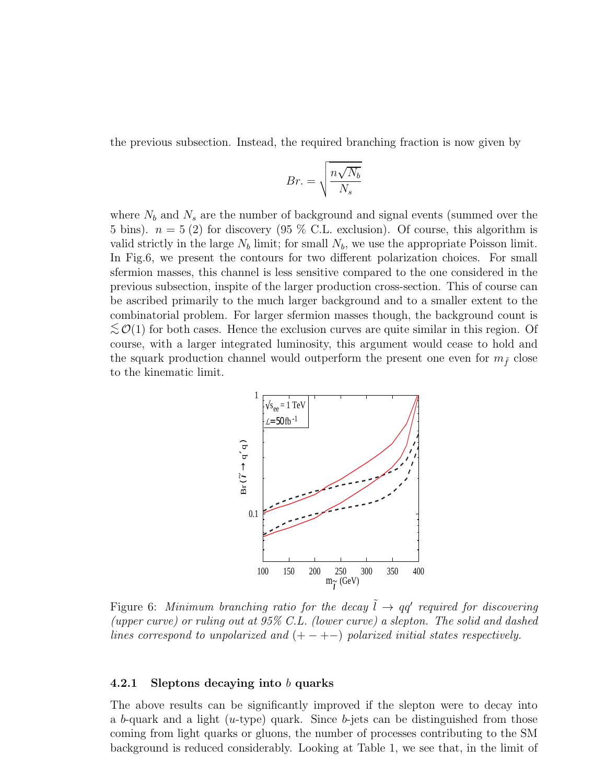the previous subsection. Instead, the required branching fraction is now given by

$$
Br. = \sqrt{\frac{n\sqrt{N_b}}{N_s}}
$$

where  $N_b$  and  $N_s$  are the number of background and signal events (summed over the 5 bins).  $n = 5(2)$  for discovery  $(95\% \text{ C.L. exclusion})$ . Of course, this algorithm is valid strictly in the large  $N_b$  limit; for small  $N_b$ , we use the appropriate Poisson limit. In Fig.6, we present the contours for two different polarization choices. For small sfermion masses, this channel is less sensitive compared to the one considered in the previous subsection, inspite of the larger production cross-section. This of course can be ascribed primarily to the much larger background and to a smaller extent to the combinatorial problem. For larger sfermion masses though, the background count is  $\lesssim \mathcal{O}(1)$  for both cases. Hence the exclusion curves are quite similar in this region. Of course, with a larger integrated luminosity, this argument would cease to hold and the squark production channel would outperform the present one even for  $m_{\tilde{f}}$  close to the kinematic limit.



Figure 6: Minimum branching ratio for the decay  $\tilde{l} \rightarrow qq'$  required for discovering (upper curve) or ruling out at 95% C.L. (lower curve) a slepton. The solid and dashed lines correspond to unpolarized and  $(+-+-)$  polarized initial states respectively.

#### 4.2.1 Sleptons decaying into b quarks

The above results can be significantly improved if the slepton were to decay into a b-quark and a light  $(u$ -type) quark. Since b-jets can be distinguished from those coming from light quarks or gluons, the number of processes contributing to the SM background is reduced considerably. Looking at Table 1, we see that, in the limit of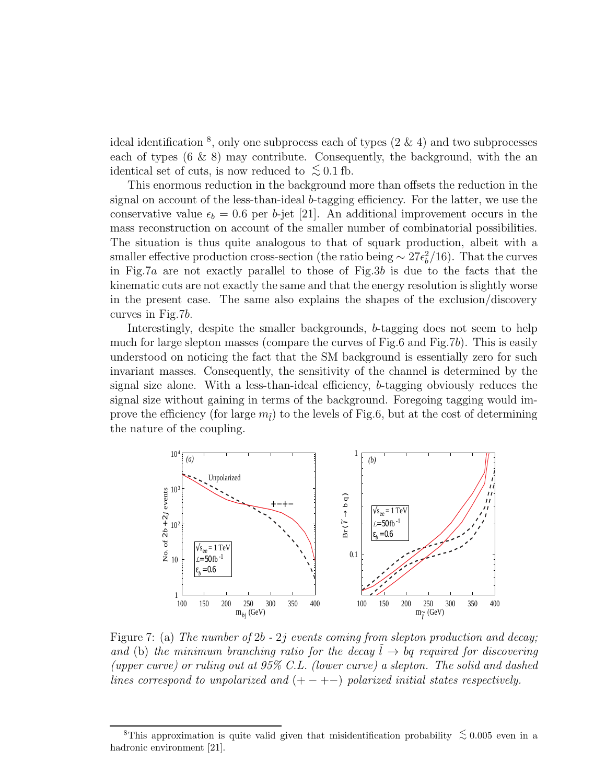ideal identification  $\delta$ , only one subprocess each of types  $(2 \& 4)$  and two subprocesses each of types  $(6 \& 8)$  may contribute. Consequently, the background, with the an identical set of cuts, is now reduced to  $\lesssim 0.1$  fb.

This enormous reduction in the background more than offsets the reduction in the signal on account of the less-than-ideal b-tagging efficiency. For the latter, we use the conservative value  $\epsilon_b = 0.6$  per b-jet [21]. An additional improvement occurs in the mass reconstruction on account of the smaller number of combinatorial possibilities. The situation is thus quite analogous to that of squark production, albeit with a smaller effective production cross-section (the ratio being  $\sim 27\epsilon_b^2/16$ ). That the curves in Fig.7a are not exactly parallel to those of Fig.3b is due to the facts that the kinematic cuts are not exactly the same and that the energy resolution is slightly worse in the present case. The same also explains the shapes of the exclusion/discovery curves in Fig.7b.

Interestingly, despite the smaller backgrounds, b-tagging does not seem to help much for large slepton masses (compare the curves of Fig.6 and Fig.7b). This is easily understood on noticing the fact that the SM background is essentially zero for such invariant masses. Consequently, the sensitivity of the channel is determined by the signal size alone. With a less-than-ideal efficiency, b-tagging obviously reduces the signal size without gaining in terms of the background. Foregoing tagging would improve the efficiency (for large  $m_{\tilde{l}}$ ) to the levels of Fig.6, but at the cost of determining the nature of the coupling.



Figure 7: (a) The number of  $2b - 2j$  events coming from slepton production and decay; and (b) the minimum branching ratio for the decay  $l \rightarrow bq$  required for discovering (upper curve) or ruling out at 95% C.L. (lower curve) a slepton. The solid and dashed lines correspond to unpolarized and  $(+-+-)$  polarized initial states respectively.

<sup>&</sup>lt;sup>8</sup>This approximation is quite valid given that misidentification probability  $\lesssim 0.005$  even in a hadronic environment [21].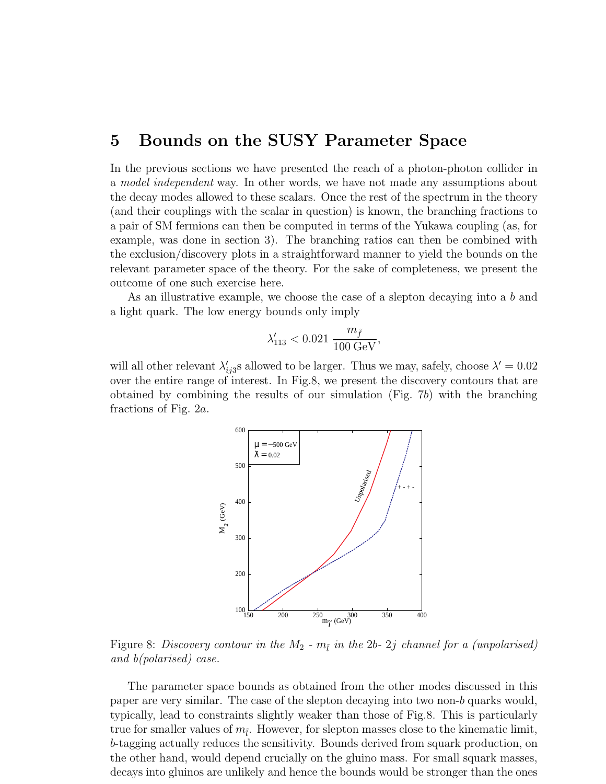### 5 Bounds on the SUSY Parameter Space

In the previous sections we have presented the reach of a photon-photon collider in a model independent way. In other words, we have not made any assumptions about the decay modes allowed to these scalars. Once the rest of the spectrum in the theory (and their couplings with the scalar in question) is known, the branching fractions to a pair of SM fermions can then be computed in terms of the Yukawa coupling (as, for example, was done in section 3). The branching ratios can then be combined with the exclusion/discovery plots in a straightforward manner to yield the bounds on the relevant parameter space of the theory. For the sake of completeness, we present the outcome of one such exercise here.

As an illustrative example, we choose the case of a slepton decaying into a b and a light quark. The low energy bounds only imply

$$
\lambda'_{113} < 0.021 \; \frac{m_{\tilde{f}}}{100 \; {\rm GeV}},
$$

will all other relevant  $\lambda_i'$  $\chi'_{ij3}$ s allowed to be larger. Thus we may, safely, choose  $\lambda' = 0.02$ over the entire range of interest. In Fig.8, we present the discovery contours that are obtained by combining the results of our simulation  $(Fig. 7b)$  with the branching fractions of Fig. 2a.



Figure 8: Discovery contour in the  $M_2$  -  $m_{\tilde{l}}$  in the 2b- 2j channel for a (unpolarised) and b(polarised) case.

The parameter space bounds as obtained from the other modes discussed in this paper are very similar. The case of the slepton decaying into two non-b quarks would, typically, lead to constraints slightly weaker than those of Fig.8. This is particularly true for smaller values of  $m_{\tilde{l}}$ . However, for slepton masses close to the kinematic limit, b-tagging actually reduces the sensitivity. Bounds derived from squark production, on the other hand, would depend crucially on the gluino mass. For small squark masses, decays into gluinos are unlikely and hence the bounds would be stronger than the ones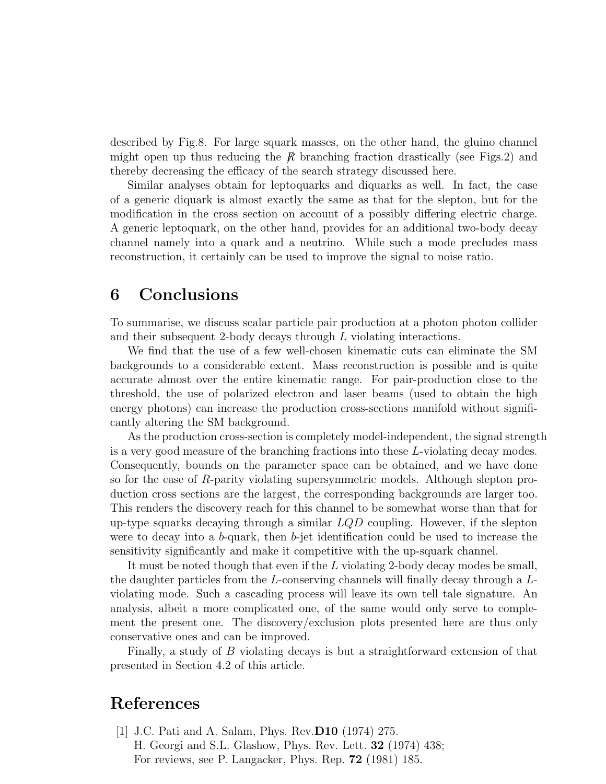described by Fig.8. For large squark masses, on the other hand, the gluino channel might open up thus reducing the  $\beta$  branching fraction drastically (see Figs.2) and thereby decreasing the efficacy of the search strategy discussed here.

Similar analyses obtain for leptoquarks and diquarks as well. In fact, the case of a generic diquark is almost exactly the same as that for the slepton, but for the modification in the cross section on account of a possibly differing electric charge. A generic leptoquark, on the other hand, provides for an additional two-body decay channel namely into a quark and a neutrino. While such a mode precludes mass reconstruction, it certainly can be used to improve the signal to noise ratio.

## 6 Conclusions

To summarise, we discuss scalar particle pair production at a photon photon collider and their subsequent 2-body decays through L violating interactions.

We find that the use of a few well-chosen kinematic cuts can eliminate the SM backgrounds to a considerable extent. Mass reconstruction is possible and is quite accurate almost over the entire kinematic range. For pair-production close to the threshold, the use of polarized electron and laser beams (used to obtain the high energy photons) can increase the production cross-sections manifold without significantly altering the SM background.

As the production cross-section is completely model-independent, the signal strength is a very good measure of the branching fractions into these L-violating decay modes. Consequently, bounds on the parameter space can be obtained, and we have done so for the case of R-parity violating supersymmetric models. Although slepton production cross sections are the largest, the corresponding backgrounds are larger too. This renders the discovery reach for this channel to be somewhat worse than that for up-type squarks decaying through a similar  $LQD$  coupling. However, if the slepton were to decay into a b-quark, then b-jet identification could be used to increase the sensitivity significantly and make it competitive with the up-squark channel.

It must be noted though that even if the L violating 2-body decay modes be small, the daughter particles from the L-conserving channels will finally decay through a Lviolating mode. Such a cascading process will leave its own tell tale signature. An analysis, albeit a more complicated one, of the same would only serve to complement the present one. The discovery/exclusion plots presented here are thus only conservative ones and can be improved.

Finally, a study of B violating decays is but a straightforward extension of that presented in Section 4.2 of this article.

## References

[1] J.C. Pati and A. Salam, Phys. Rev.D10 (1974) 275. H. Georgi and S.L. Glashow, Phys. Rev. Lett. 32 (1974) 438; For reviews, see P. Langacker, Phys. Rep. 72 (1981) 185.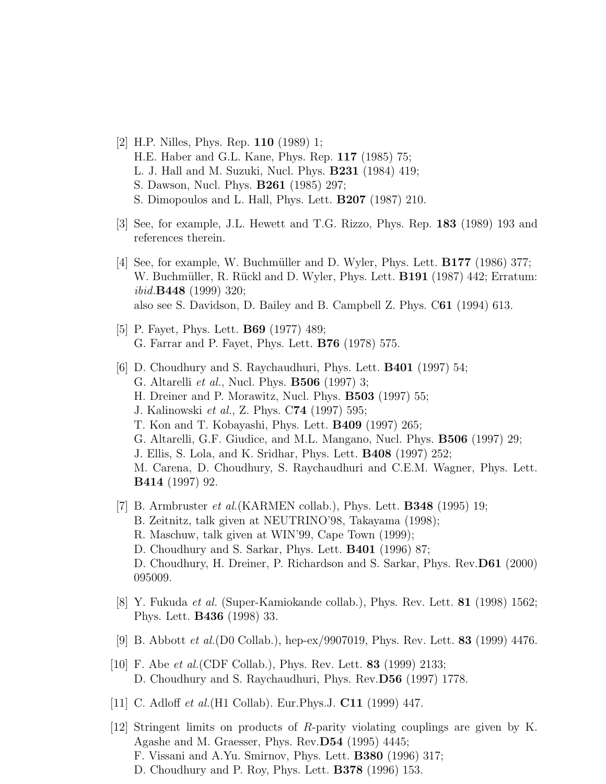- [2] H.P. Nilles, Phys. Rep. 110 (1989) 1; H.E. Haber and G.L. Kane, Phys. Rep. 117 (1985) 75; L. J. Hall and M. Suzuki, Nucl. Phys. B231 (1984) 419; S. Dawson, Nucl. Phys. B261 (1985) 297; S. Dimopoulos and L. Hall, Phys. Lett. B207 (1987) 210.
- [3] See, for example, J.L. Hewett and T.G. Rizzo, Phys. Rep. 183 (1989) 193 and references therein.
- [4] See, for example, W. Buchmüller and D. Wyler, Phys. Lett.  $\mathbf{B177}$  (1986) 377; W. Buchmüller, R. Rückl and D. Wyler, Phys. Lett. **B191** (1987) 442; Erratum: ibid.B448 (1999) 320; also see S. Davidson, D. Bailey and B. Campbell Z. Phys. C61 (1994) 613.
- [5] P. Fayet, Phys. Lett. B69 (1977) 489; G. Farrar and P. Fayet, Phys. Lett. B76 (1978) 575.
- [6] D. Choudhury and S. Raychaudhuri, Phys. Lett. B401 (1997) 54; G. Altarelli et al., Nucl. Phys. B506 (1997) 3; H. Dreiner and P. Morawitz, Nucl. Phys. B503 (1997) 55; J. Kalinowski et al., Z. Phys. C74 (1997) 595; T. Kon and T. Kobayashi, Phys. Lett. B409 (1997) 265; G. Altarelli, G.F. Giudice, and M.L. Mangano, Nucl. Phys. B506 (1997) 29; J. Ellis, S. Lola, and K. Sridhar, Phys. Lett. B408 (1997) 252; M. Carena, D. Choudhury, S. Raychaudhuri and C.E.M. Wagner, Phys. Lett. B414 (1997) 92.
- [7] B. Armbruster *et al.* (KARMEN collab.), Phys. Lett. **B348** (1995) 19; B. Zeitnitz, talk given at NEUTRINO'98, Takayama (1998); R. Maschuw, talk given at WIN'99, Cape Town (1999); D. Choudhury and S. Sarkar, Phys. Lett. B401 (1996) 87; D. Choudhury, H. Dreiner, P. Richardson and S. Sarkar, Phys. Rev.D61 (2000) 095009.
- [8] Y. Fukuda et al. (Super-Kamiokande collab.), Phys. Rev. Lett. 81 (1998) 1562; Phys. Lett. B436 (1998) 33.
- [9] B. Abbott et al.(D0 Collab.), hep-ex/9907019, Phys. Rev. Lett. 83 (1999) 4476.
- [10] F. Abe *et al.* (CDF Collab.), Phys. Rev. Lett. **83** (1999) 2133; D. Choudhury and S. Raychaudhuri, Phys. Rev.D56 (1997) 1778.
- [11] C. Adloff *et al.*(H1 Collab). Eur.Phys.J. **C11** (1999) 447.
- [12] Stringent limits on products of R-parity violating couplings are given by K. Agashe and M. Graesser, Phys. Rev.D54 (1995) 4445; F. Vissani and A.Yu. Smirnov, Phys. Lett. B380 (1996) 317; D. Choudhury and P. Roy, Phys. Lett. B378 (1996) 153.